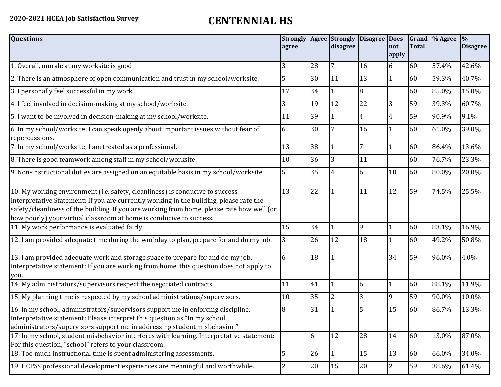## **2020-2021 HCEA Job Satisfaction Survey CENTENNIAL HS**

| <b>Questions</b>                                                                                                                                                                                                                                                                                                                               | agree |    | <b>Strongly Agree Strongly</b><br>disagree | <b>Disagree Does</b> | not<br>apply   | <b>Total</b> | Grand \% Agree | $\frac{9}{6}$<br><b>Disagree</b> |
|------------------------------------------------------------------------------------------------------------------------------------------------------------------------------------------------------------------------------------------------------------------------------------------------------------------------------------------------|-------|----|--------------------------------------------|----------------------|----------------|--------------|----------------|----------------------------------|
| 1. Overall, morale at my worksite is good                                                                                                                                                                                                                                                                                                      | 3     | 28 | 7                                          | 16                   | 6              | 60           | 57.4%          | 42.6%                            |
| 2. There is an atmosphere of open communication and trust in my school/worksite.                                                                                                                                                                                                                                                               | 5     | 30 | 11                                         | 13                   | $\mathbf{1}$   | 60           | 59.3%          | 40.7%                            |
| 3. I personally feel successful in my work.                                                                                                                                                                                                                                                                                                    | 17    | 34 |                                            | 8                    |                | 60           | 85.0%          | 15.0%                            |
| 4. I feel involved in decision-making at my school/worksite.                                                                                                                                                                                                                                                                                   | 3     | 19 | 12                                         | 22                   | 3              | 59           | 39.3%          | 60.7%                            |
| 5. I want to be involved in decision-making at my school/worksite.                                                                                                                                                                                                                                                                             | 11    | 39 |                                            | 4                    | $\overline{4}$ | 59           | 90.9%          | 9.1%                             |
| 6. In my school/worksite, I can speak openly about important issues without fear of<br>repercussions.                                                                                                                                                                                                                                          | 6     | 30 |                                            | 16                   |                | 60           | 61.0%          | 39.0%                            |
| 7. In my school/worksite, I am treated as a professional.                                                                                                                                                                                                                                                                                      | 13    | 38 | 1                                          | 7                    | 1              | 60           | 86.4%          | 13.6%                            |
| 8. There is good teamwork among staff in my school/worksite.                                                                                                                                                                                                                                                                                   | 10    | 36 | 3                                          | 11                   |                | 60           | 76.7%          | 23.3%                            |
| 9. Non-instructional duties are assigned on an equitable basis in my school/worksite.                                                                                                                                                                                                                                                          | 5     | 35 | 4                                          | 6                    | 10             | 60           | 80.0%          | 20.0%                            |
| 10. My working environment (i.e. safety, cleanliness) is conducive to success.<br>Interpretative Statement: If you are currently working in the building, please rate the<br>safety/cleanliness of the building. If you are working from home, please rate how well (or<br>how poorly) your virtual classroom at home is conducive to success. | 13    | 22 | 1                                          | 11                   | 12             | 59           | 74.5%          | 25.5%                            |
| 11. My work performance is evaluated fairly.                                                                                                                                                                                                                                                                                                   | 15    | 34 |                                            | 9                    |                | 60           | 83.1%          | 16.9%                            |
| 12. I am provided adequate time during the workday to plan, prepare for and do my job.                                                                                                                                                                                                                                                         | 3     | 26 | 12                                         | 18                   |                | 60           | 49.2%          | 50.8%                            |
| 13. I am provided adequate work and storage space to prepare for and do my job.<br>Interpretative statement: If you are working from home, this question does not apply to<br>you.                                                                                                                                                             | 6     | 18 |                                            |                      | 34             | 59           | 96.0%          | 4.0%                             |
| 14. My administrators/supervisors respect the negotiated contracts.                                                                                                                                                                                                                                                                            | 11    | 41 |                                            | 6                    | 1              | 60           | 88.1%          | 11.9%                            |
| 15. My planning time is respected by my school administrations/supervisors.                                                                                                                                                                                                                                                                    | 10    | 35 | $\overline{2}$                             | 3                    | 9              | 59           | 90.0%          | 10.0%                            |
| 16. In my school, administrators/supervisors support me in enforcing discipline.<br>Interpretative statement: Please interpret this question as "In my school,<br>administrators/supervisors support me in addressing student misbehavior."                                                                                                    | 8     | 31 |                                            | 5                    | 15             | 60           | 86.7%          | 13.3%                            |
| 17. In my school, student misbehavior interferes with learning. Interpretative statement:<br>For this question, "school" refers to your classroom.                                                                                                                                                                                             |       | 6  | 12                                         | 28                   | 14             | 60           | 13.0%          | 87.0%                            |
| 18. Too much instructional time is spent administering assessments.                                                                                                                                                                                                                                                                            | 5     | 26 | 1                                          | 15                   | 13             | 60           | 66.0%          | 34.0%                            |
| 19. HCPSS professional development experiences are meaningful and worthwhile.                                                                                                                                                                                                                                                                  | 2     | 20 | 15                                         | 20                   | $\overline{2}$ | 59           | 38.6%          | 61.4%                            |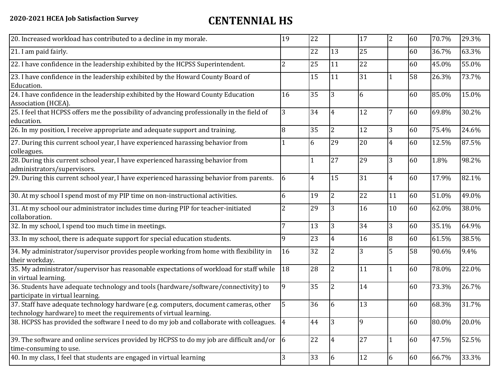| 20. Increased workload has contributed to a decline in my morale.                                                                                          | 19         | 22             |                | 17 | $\overline{2}$ | 60 | 70.7% | 29.3% |
|------------------------------------------------------------------------------------------------------------------------------------------------------------|------------|----------------|----------------|----|----------------|----|-------|-------|
| 21. I am paid fairly.                                                                                                                                      |            | 22             | 13             | 25 |                | 60 | 36.7% | 63.3% |
| 22. I have confidence in the leadership exhibited by the HCPSS Superintendent.                                                                             | 2          | 25             | 11             | 22 |                | 60 | 45.0% | 55.0% |
| 23. I have confidence in the leadership exhibited by the Howard County Board of<br>Education.                                                              |            | 15             | 11             | 31 |                | 58 | 26.3% | 73.7% |
| 24. I have confidence in the leadership exhibited by the Howard County Education<br>Association (HCEA).                                                    | 16         | 35             | 3              | 6  |                | 60 | 85.0% | 15.0% |
| 25. I feel that HCPSS offers me the possibility of advancing professionally in the field of<br>education.                                                  | 3          | 34             | $\overline{4}$ | 12 | 7              | 60 | 69.8% | 30.2% |
| 26. In my position, I receive appropriate and adequate support and training.                                                                               | 8          | 35             | $\overline{2}$ | 12 | 3              | 60 | 75.4% | 24.6% |
| 27. During this current school year, I have experienced harassing behavior from<br>colleagues.                                                             |            | 6              | 29             | 20 | $\overline{4}$ | 60 | 12.5% | 87.5% |
| 28. During this current school year, I have experienced harassing behavior from<br>administrators/supervisors.                                             |            |                | 27             | 29 | 3              | 60 | 1.8%  | 98.2% |
| 29. During this current school year, I have experienced harassing behavior from parents.                                                                   | 6          | $\overline{4}$ | 15             | 31 | $\overline{4}$ | 60 | 17.9% | 82.1% |
| 30. At my school I spend most of my PIP time on non-instructional activities.                                                                              | 6          | 19             | $\overline{2}$ | 22 | 11             | 60 | 51.0% | 49.0% |
| 31. At my school our administrator includes time during PIP for teacher-initiated<br>collaboration.                                                        | 2          | 29             | 3              | 16 | 10             | 60 | 62.0% | 38.0% |
| 32. In my school, I spend too much time in meetings.                                                                                                       |            | 13             | 3              | 34 | 3              | 60 | 35.1% | 64.9% |
| 33. In my school, there is adequate support for special education students.                                                                                | 9          | 23             | $\overline{4}$ | 16 | 8              | 60 | 61.5% | 38.5% |
| 34. My administrator/supervisor provides people working from home with flexibility in<br>their workday.                                                    | 16         | 32             | $\overline{2}$ | 3  | 5              | 58 | 90.6% | 9.4%  |
| 35. My administrator/supervisor has reasonable expectations of workload for staff while<br>in virtual learning.                                            | 18         | 28             | $\overline{2}$ | 11 | $\mathbf{1}$   | 60 | 78.0% | 22.0% |
| 36. Students have adequate technology and tools (hardware/software/connectivity) to<br>participate in virtual learning.                                    | 9          | 35             | 2              | 14 |                | 60 | 73.3% | 26.7% |
| 37. Staff have adequate technology hardware (e.g. computers, document cameras, other<br>technology hardware) to meet the requirements of virtual learning. |            | 36             | 6              | 13 |                | 60 | 68.3% | 31.7% |
| 38. HCPSS has provided the software I need to do my job and collaborate with colleagues. 4                                                                 |            | 44             | 3              | 9  |                | 60 | 80.0% | 20.0% |
| 39. The software and online services provided by HCPSS to do my job are difficult and/or<br>time-consuming to use.                                         | $\sqrt{6}$ | 22             | 4              | 27 | $\mathbf{1}$   | 60 | 47.5% | 52.5% |
| 40. In my class, I feel that students are engaged in virtual learning                                                                                      | 3          | 33             | 6              | 12 | 6              | 60 | 66.7% | 33.3% |
|                                                                                                                                                            |            |                |                |    |                |    |       |       |